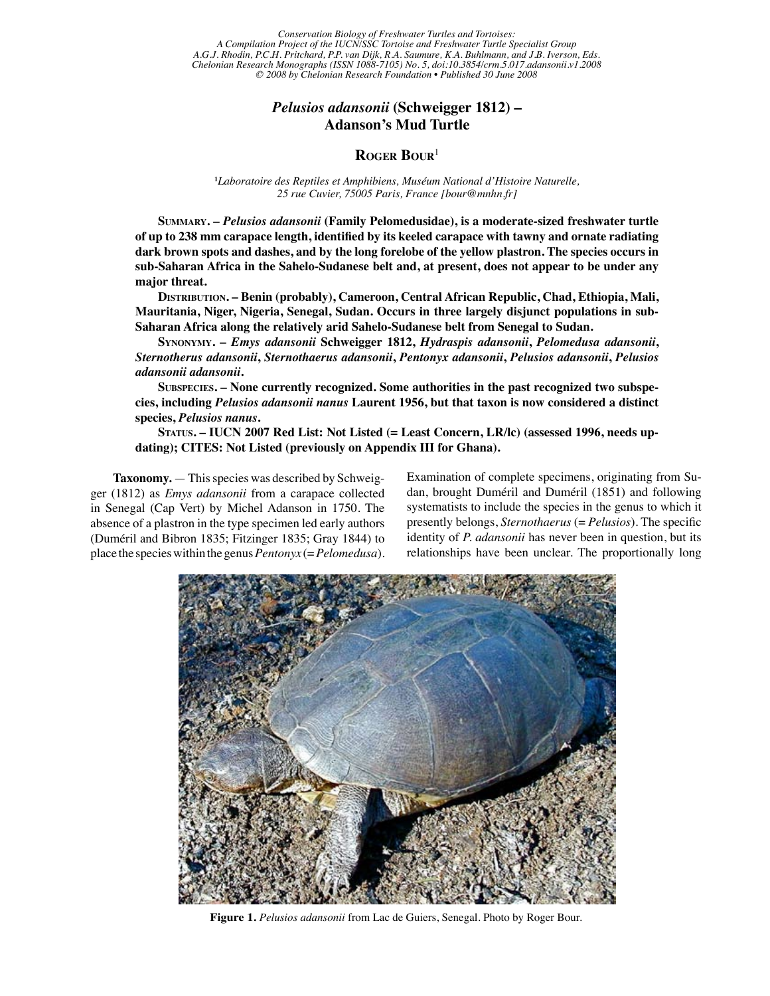Conservation Biology of Freshwater Turtles and Tortoises:<br>Project of the HICN/SSC Tortoise and Freshwater Turtle Specialist Group *A Compilation Project of the IUCN/SSC Tortoise and Freshwater Turtle Specialist Group A.G.J. Rhodin, P.C.H. Pritchard, P.P. van Dijk, R.A. Saumure, K.A. Buhlmann, and J.B. Iverson, Eds. Chelonian Research Monographs (ISSN 1088-7105) No. 5, doi:10.3854/crm.5.017.adansonii.v1.2008 © 2008 by Chelonian Research Foundation • Published 30 June 2008*

## *Pelusios adansonii* **(Schweigger 1812) – Adanson's Mud Turtle**

## **Roger Bour**<sup>1</sup>

**1** *Laboratoire des Reptiles et Amphibiens, Muséum National d'Histoire Naturelle, 25 rue Cuvier, 75005 Paris, France [bour@mnhn.fr]*

**Summary. –** *Pelusios adansonii* **(Family Pelomedusidae), is a moderate-sized freshwater turtle of up to 238 mm carapace length, identified by its keeled carapace with tawny and ornate radiating dark brown spots and dashes, and by the long forelobe of the yellow plastron. The species occurs in sub-Saharan Africa in the Sahelo-Sudanese belt and, at present, does not appear to be under any major threat.**

**Distribution. – Benin (probably), Cameroon, Central African Republic, Chad, Ethiopia, Mali, Mauritania, Niger, Nigeria, Senegal, Sudan. Occurs in three largely disjunct populations in sub-Saharan Africa along the relatively arid Sahelo-Sudanese belt from Senegal to Sudan.**

**Synonymy. –** *Emys adansonii* **Schweigger 1812,** *Hydraspis adansonii***,** *Pelomedusa adansonii***,**  *Sternotherus adansonii***,** *Sternothaerus adansonii***,** *Pentonyx adansonii***,** *Pelusios adansonii***,** *Pelusios adansonii adansonii***.**

**Subspecies. – None currently recognized. Some authorities in the past recognized two subspecies, including** *Pelusios adansonii nanus* **Laurent 1956, but that taxon is now considered a distinct species,** *Pelusios nanus***.**

**Status. – IUCN 2007 Red List: Not Listed (= Least Concern, LR/lc) (assessed 1996, needs updating); CITES: Not Listed (previously on Appendix III for Ghana).**

**Taxonomy.** — This species was described by Schweigger (1812) as *Emys adansonii* from a carapace collected in Senegal (Cap Vert) by Michel Adanson in 1750. The absence of a plastron in the type specimen led early authors (Duméril and Bibron 1835; Fitzinger 1835; Gray 1844) to place the species within the genus *Pentonyx* (= *Pelomedusa*).

Examination of complete specimens, originating from Sudan, brought Duméril and Duméril (1851) and following systematists to include the species in the genus to which it presently belongs, *Sternothaerus* (= *Pelusios*). The specific identity of *P. adansonii* has never been in question, but its relationships have been unclear. The proportionally long



**Figure 1.** *Pelusios adansonii* from Lac de Guiers, Senegal. Photo by Roger Bour.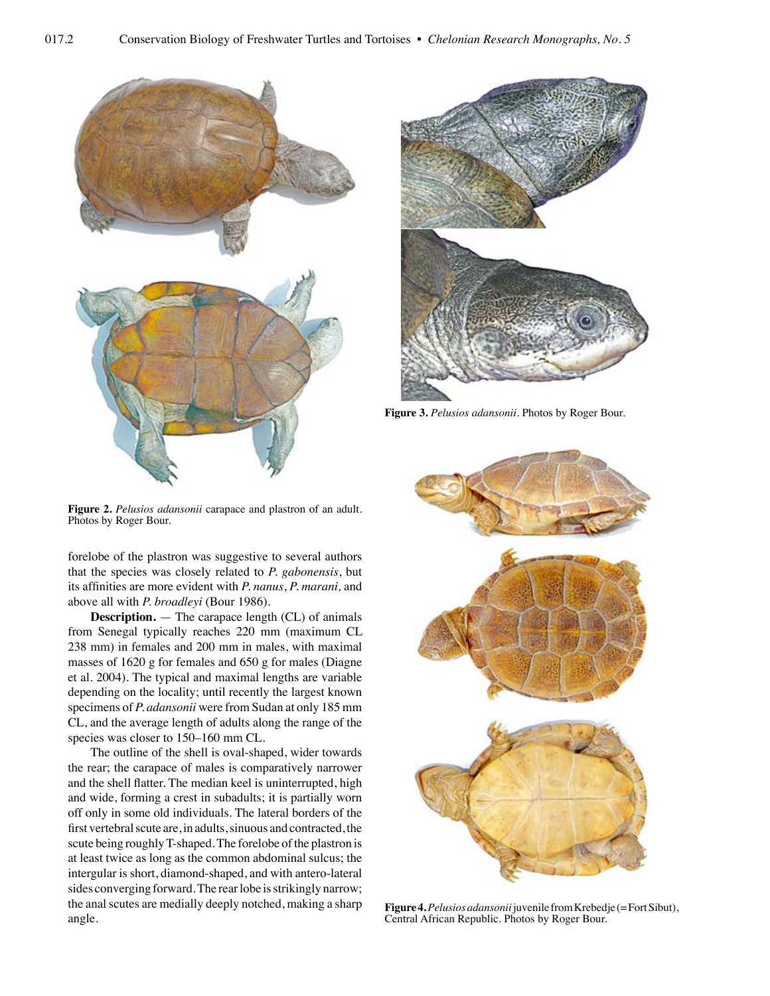

**Figure 2.** *Pelusios adansonii* carapace and plastron of an adult. Photos by Roger Bour.

forelobe of the plastron was suggestive to several authors that the species was closely related to *P. gabonensis*, but its affinities are more evident with *P. nanus*, *P. marani,* and above all with *P. broadleyi* (Bour 1986).

**Description.** — The carapace length (CL) of animals from Senegal typically reaches 220 mm (maximum CL 238 mm) in females and 200 mm in males, with maximal masses of 1620 g for females and 650 g for males (Diagne et al. 2004). The typical and maximal lengths are variable depending on the locality; until recently the largest known specimens of *P. adansonii* were from Sudan at only 185 mm CL, and the average length of adults along the range of the species was closer to 150–160 mm CL.

The outline of the shell is oval-shaped, wider towards the rear; the carapace of males is comparatively narrower and the shell flatter. The median keel is uninterrupted, high and wide, forming a crest in subadults; it is partially worn off only in some old individuals. The lateral borders of the first vertebral scute are, in adults, sinuous and contracted, the scute being roughly T-shaped. The forelobe of the plastron is at least twice as long as the common abdominal sulcus; the intergular is short, diamond-shaped, and with antero-lateral sides converging forward. The rear lobe is strikingly narrow; the anal scutes are medially deeply notched, making a sharp angle.



**Figure 3.** *Pelusios adansonii.* Photos by Roger Bour.



**Figure 4.** *Pelusios adansonii* juvenile from Krebedje (= Fort Sibut), Central African Republic. Photos by Roger Bour.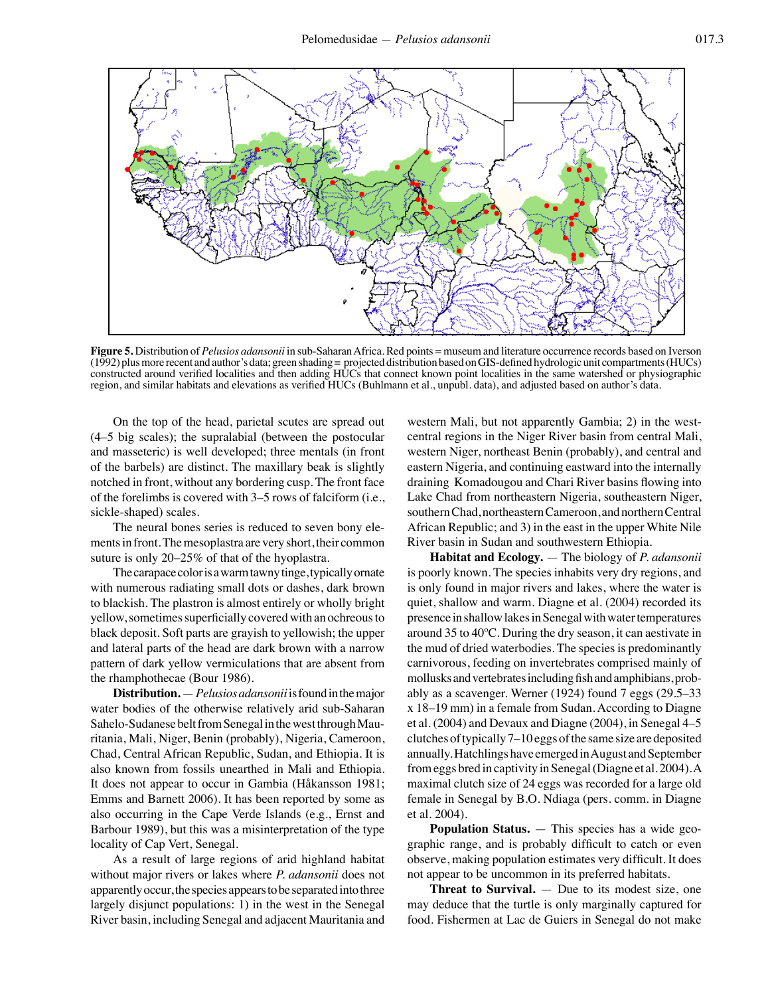

**Figure 5.** Distribution of *Pelusios adansonii* in sub-Saharan Africa*.* Red points = museum and literature occurrence records based on Iverson (1992) plus more recent and author's data; green shading = projected distribution based on GIS-defined hydrologic unit compartments (HUCs) constructed around verified localities and then adding HUCs that connect known point localities in the same watershed or physiographic region, and similar habitats and elevations as verified HUCs (Buhlmann et al., unpubl. data), and adjusted based on author's data.

On the top of the head, parietal scutes are spread out (4–5 big scales); the supralabial (between the postocular and masseteric) is well developed; three mentals (in front of the barbels) are distinct. The maxillary beak is slightly notched in front, without any bordering cusp. The front face of the forelimbs is covered with 3–5 rows of falciform (i.e., sickle-shaped) scales.

The neural bones series is reduced to seven bony elements in front. The mesoplastra are very short, their common suture is only 20–25% of that of the hyoplastra.

The carapace color is a warm tawny tinge, typically ornate with numerous radiating small dots or dashes, dark brown to blackish. The plastron is almost entirely or wholly bright yellow, sometimes superficially covered with an ochreous to black deposit. Soft parts are grayish to yellowish; the upper and lateral parts of the head are dark brown with a narrow pattern of dark yellow vermiculations that are absent from the rhamphothecae (Bour 1986).

**Distribution.** — *Pelusios adansonii* is found in the major water bodies of the otherwise relatively arid sub-Saharan Sahelo-Sudanese belt from Senegal in the west through Mauritania, Mali, Niger, Benin (probably), Nigeria, Cameroon, Chad, Central African Republic, Sudan, and Ethiopia. It is also known from fossils unearthed in Mali and Ethiopia. It does not appear to occur in Gambia (Håkansson 1981; Emms and Barnett 2006). It has been reported by some as also occurring in the Cape Verde Islands (e.g., Ernst and Barbour 1989), but this was a misinterpretation of the type locality of Cap Vert, Senegal.

As a result of large regions of arid highland habitat without major rivers or lakes where *P. adansonii* does not apparently occur, the species appears to be separated into three largely disjunct populations: 1) in the west in the Senegal River basin, including Senegal and adjacent Mauritania and western Mali, but not apparently Gambia; 2) in the westcentral regions in the Niger River basin from central Mali, western Niger, northeast Benin (probably), and central and eastern Nigeria, and continuing eastward into the internally draining Komadougou and Chari River basins flowing into Lake Chad from northeastern Nigeria, southeastern Niger, southern Chad, northeastern Cameroon, and northern Central African Republic; and 3) in the east in the upper White Nile River basin in Sudan and southwestern Ethiopia.

**Habitat and Ecology.** — The biology of *P. adansonii* is poorly known. The species inhabits very dry regions, and is only found in major rivers and lakes, where the water is quiet, shallow and warm. Diagne et al. (2004) recorded its presence in shallow lakes in Senegal with water temperatures around 35 to 40ºC. During the dry season, it can aestivate in the mud of dried waterbodies. The species is predominantly carnivorous, feeding on invertebrates comprised mainly of mollusks and vertebrates including fish and amphibians, probably as a scavenger. Werner (1924) found 7 eggs (29.5–33 x 18–19 mm) in a female from Sudan. According to Diagne et al. (2004) and Devaux and Diagne (2004), in Senegal 4–5 clutches of typically 7–10 eggs of the same size are deposited annually. Hatchlings have emerged in August and September from eggs bred in captivity in Senegal (Diagne et al. 2004). A maximal clutch size of 24 eggs was recorded for a large old female in Senegal by B.O. Ndiaga (pers. comm. in Diagne et al. 2004).

**Population Status.** — This species has a wide geographic range, and is probably difficult to catch or even observe, making population estimates very difficult. It does not appear to be uncommon in its preferred habitats.

**Threat to Survival.** — Due to its modest size, one may deduce that the turtle is only marginally captured for food. Fishermen at Lac de Guiers in Senegal do not make